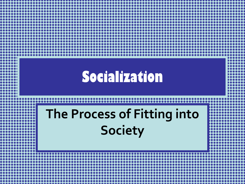#### **Socialization**

#### **The Process of Fitting into Society**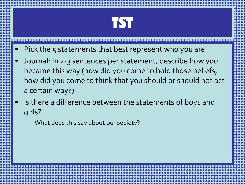

- Pick the 5 statements that best represent who you are
- Journal: In 2-3 sentences per statement, describe how you became this way (how did you come to hold those beliefs, how did you come to think that you should or should not act a certain way?)
- Is there a difference between the statements of boys and girls?
	- What does this say about our society?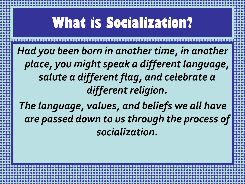#### **What is Socialization?**

*Had you been born in another time, in another place, you might speak a different language, salute a different flag, and celebrate a different religion.*

*The language, values, and beliefs we all have are passed down to us through the process of socialization.*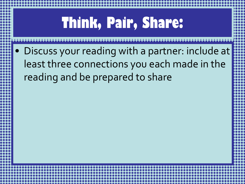# **Think, Pair, Share:**

• Discuss your reading with a partner: include at least three connections you each made in the reading and be prepared to share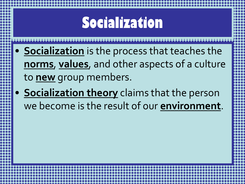#### **Socialization**

- **Socialization** is the process that teaches the **norms**, **values**, and other aspects of a culture to **new** group members.
- **Socialization theory** claims that the person we become is the result of our **environment**.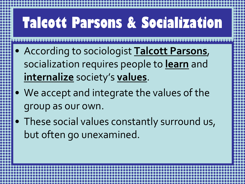# **Talcott Parsons & Socialization**

- According to sociologist **Talcott Parsons**, socialization requires people to **learn** and **internalize** society's **values**.
- We accept and integrate the values of the group as our own.
- These social values constantly surround us, but often go unexamined.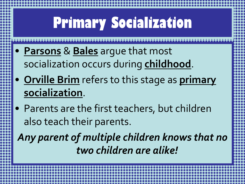# **Primary Socialization**

- **Parsons** & **Bales** argue that most socialization occurs during **childhood**.
- **Orville Brim** refers to this stage as **primary socialization**.
- Parents are the first teachers, but children also teach their parents.

*Any parent of multiple children knows that no two children are alike!*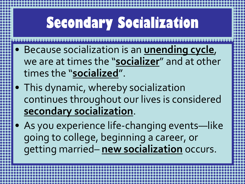# **Secondary Socialization**

- Because socialization is an **unending cycle**, we are at times the "**socializer**" and at other times the "**socialized**".
- This dynamic, whereby socialization continues throughout our lives is considered **secondary socialization**.
- As you experience life-changing events—like going to college, beginning a career, or getting married– **new socialization** occurs.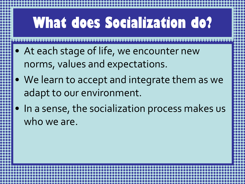# **What does Socialization do?**

- At each stage of life, we encounter new norms, values and expectations.
- We learn to accept and integrate them as we adapt to our environment.
- In a sense, the socialization process makes us who we are.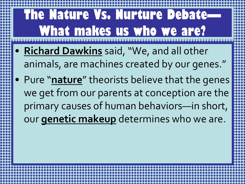#### **The Nature Vs. Nurture Debate-What makes us who we are?**

- **Richard Dawkins** said, "We, and all other animals, are machines created by our genes."
- Pure "**nature**" theorists believe that the genes we get from our parents at conception are the primary causes of human behaviors—in short, our **genetic makeup** determines who we are.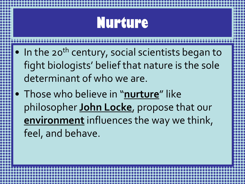#### **Nurture**

- In the 20<sup>th</sup> century, social scientists began to fight biologists' belief that nature is the sole determinant of who we are.
- Those who believe in "**nurture**" like philosopher **John Locke**, propose that our **environment** influences the way we think, feel, and behave.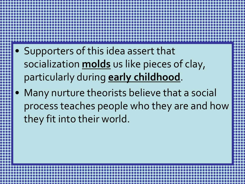- Supporters of this idea assert that socialization **molds** us like pieces of clay, particularly during **early childhood**.
- Many nurture theorists believe that a social process teaches people who they are and how they fit into their world.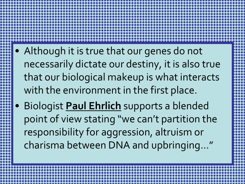- Although it is true that our genes do not necessarily dictate our destiny, it is also true that our biological makeup is what interacts with the environment in the first place.
- Biologist **Paul Ehrlich** supports a blended point of view stating "we can't partition the responsibility for aggression, altruism or charisma between DNA and upbringing…"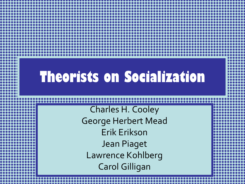#### **Theorists on Socialization**

Charles H. Cooley George Herbert Mead Erik Erikson Jean Piaget Lawrence Kohlberg Carol Gilligan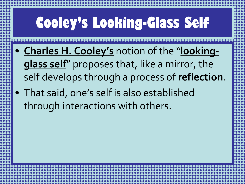# **Cooley's Looking-Glass Self**

- **Charles H. Cooley's** notion of the "**lookingglass self**" proposes that, like a mirror, the self develops through a process of **reflection**.
- That said, one's self is also established through interactions with others.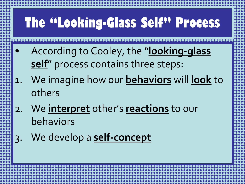#### **The "Looking-Glass Self" Process**

- According to Cooley, the "**looking-glass self**" process contains three steps:
- 1. We imagine how our **behaviors** will **look** to others
- 2. We **interpret** other's **reactions** to our behaviors
- 3. We develop a **self-concept**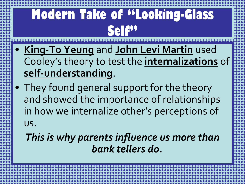#### **Modern Take of "Looking-Glass Self"**

- **King-To Yeung** and **John Levi Martin** used Cooley's theory to test the **internalizations** of **self-understanding**.
- They found general support for the theory and showed the importance of relationships in how we internalize other's perceptions of us.

*This is why parents influence us more than bank tellers do.*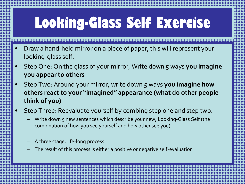# **Looking-Glass Self Exercise**

- Draw a hand-held mirror on a piece of paper, this will represent your looking-glass self.
- Step One: On the glass of your mirror, Write down 5 ways **you imagine you appear to others**
- Step Two: Around your mirror, write down 5 ways **you imagine how others react to your "imagined" appearance (what do other people think of you)**
- Step Three: Reevaluate yourself by combing step one and step two.
	- Write down 5 new sentences which describe your new, Looking-Glass Self (the combination of how you see yourself and how other see you)
	- A three stage, life-long process.
	- The result of this process is either a positive or negative self-evaluation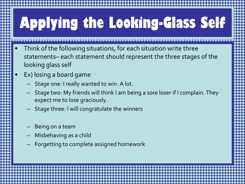# **Applying the Looking-Glass Self**

- Think of the following situations, for each situation write three statements– each statement should represent the three stages of the looking glass self
- Ex) losing a board game
	- Stage one: I really wanted to win. A lot.
	- Stage two: My friends will think I am being a sore loser if I complain. They expect me to lose graciously.
	- Stage three: I will congratulate the winners
	- Being on a team
	- Misbehaving as a child
	- Forgetting to complete assigned homework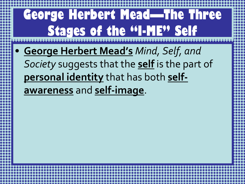#### **George Herbert Mead—The Three Stages of the "I-ME" Self**

• **George Herbert Mead's** *Mind, Self, and Society* suggests that the **self** is the part of **personal identity** that has both **selfawareness** and **self-image**.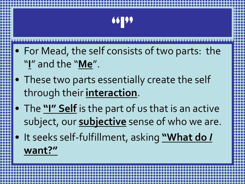

- For Mead, the self consists of two parts: the "**I**" and the "**Me**".
- These two parts essentially create the self through their **interaction**.
- The **"I" Self** is the part of us that is an active subject, our **subjective** sense of who we are.
- It seeks self-fulfillment, asking **"What do** *I* **want?"**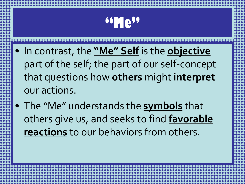#### **66 Me"**

- In contrast, the **"Me" Self** is the **objective** part of the self; the part of our self-concept that questions how **others** might **interpret** our actions.
- The "Me" understands the **symbols** that others give us, and seeks to find **favorable reactions** to our behaviors from others.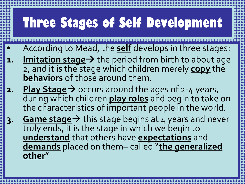#### **Three Stages of Self Development**

- According to Mead, the **self** develops in three stages:
- **1.** Imitation stage > the period from birth to about age 2, and it is the stage which children merely **copy** the **behaviors** of those around them.
- **2. Play Stage**  $\rightarrow$  occurs around the ages of 2-4 years, during which children **play roles** and begin to take on the characteristics of important people in the world.
- **3.** Game stage→ this stage begins at 4 years and never truly ends, it is the stage in which we begin to **understand** that others have **expectations** and **demands** placed on them– called "**the generalized other**"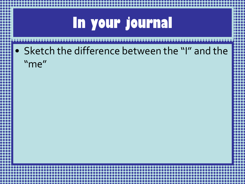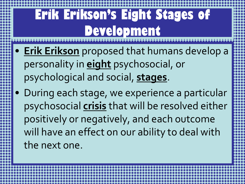#### **Erik Erikson's Eight Stages of Development**

- **Erik Erikson** proposed that humans develop a personality in **eight** psychosocial, or psychological and social, **stages**.
- During each stage, we experience a particular psychosocial **crisis** that will be resolved either positively or negatively, and each outcome will have an effect on our ability to deal with the next one.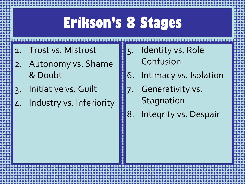#### **Erikson's 8 Stages**

- 1. Trust vs. Mistrust
- 2. Autonomy vs. Shame & Doubt
- 3. Initiative vs. Guilt
- 4. Industry vs. Inferiority
- 5. Identity vs. Role Confusion
- 6. Intimacy vs. Isolation
- 7. Generativity vs. **Stagnation**
- 8. Integrity vs. Despair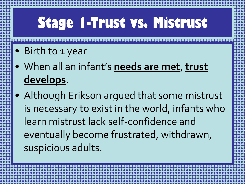# **Stage 1-Trust vs. Mistrust**

- Birth to 1 year
- When all an infant's **needs are met**, **trust develops**.
- Although Erikson argued that some mistrust is necessary to exist in the world, infants who learn mistrust lack self-confidence and eventually become frustrated, withdrawn, suspicious adults.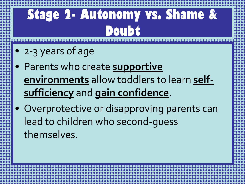#### **Stage 2- Autonomy vs. Shame & Doubt**

- 2-3 years of age
- Parents who create **supportive environments** allow toddlers to learn **selfsufficiency** and **gain confidence**.
- Overprotective or disapproving parents can lead to children who second-guess themselves.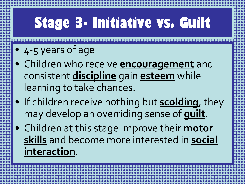# **Stage 3- Initiative vs. Guilt**

- 4-5 years of age
- Children who receive **encouragement** and consistent **discipline** gain **esteem** while learning to take chances.
- If children receive nothing but **scolding**, they may develop an overriding sense of **guilt**.
- Children at this stage improve their **motor skills** and become more interested in **social interaction**.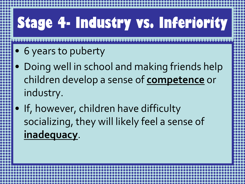# **Stage 4- Industry vs. Inferiority**

- 6 years to puberty
- Doing well in school and making friends help children develop a sense of **competence** or industry.
- If, however, children have difficulty socializing, they will likely feel a sense of **inadequacy**.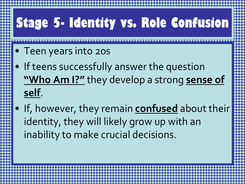# **Stage 5- Identity vs. Role Confusion**

- Teen years into 20s
- If teens successfully answer the question **"Who Am I?"** they develop a strong **sense of self**.
- If, however, they remain **confused** about their identity, they will likely grow up with an inability to make crucial decisions.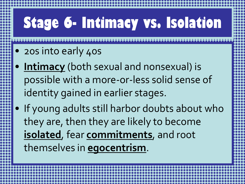# **Stage 6- Intimacy vs. Isolation**

- 20s into early 40s
- **Intimacy** (both sexual and nonsexual) is possible with a more-or-less solid sense of identity gained in earlier stages.

• If young adults still harbor doubts about who they are, then they are likely to become **isolated**, fear **commitments**, and root themselves in **egocentrism**.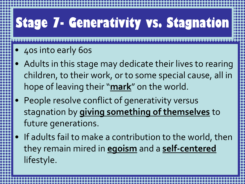# **Stage 7- Generativity vs. Stagnation**

- 40s into early 60s
- Adults in this stage may dedicate their lives to rearing children, to their work, or to some special cause, all in hope of leaving their "**mark**" on the world.
- People resolve conflict of generativity versus stagnation by **giving something of themselves** to future generations.
- If adults fail to make a contribution to the world, then they remain mired in **egoism** and a **self-centered** lifestyle.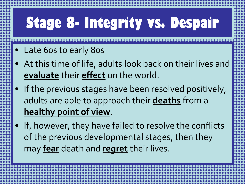# **Stage 8- Integrity vs. Despair**

- Late 60s to early 80s
- At this time of life, adults look back on their lives and **evaluate** their **effect** on the world.
- If the previous stages have been resolved positively, adults are able to approach their **deaths** from a **healthy point of view**.
- If, however, they have failed to resolve the conflicts of the previous developmental stages, then they may **fear** death and **regret** their lives.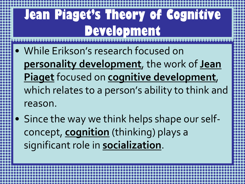#### **Jean Piaget's Theory of Cognitive Development**

- While Erikson's research focused on **personality development**, the work of **Jean Piaget** focused on **cognitive development**, which relates to a person's ability to think and reason.
- Since the way we think helps shape our selfconcept, **cognition** (thinking) plays a significant role in **socialization**.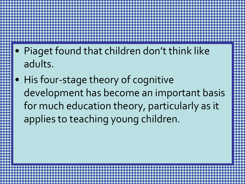- Piaget found that children don't think like adults.
- His four-stage theory of cognitive development has become an important basis for much education theory, particularly as it applies to teaching young children.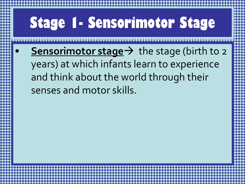# **Stage 1- Sensorimotor Stage Sensorimotor stage** > the stage (birth to 2 years) at which infants learn to experience and think about the world through their senses and motor skills.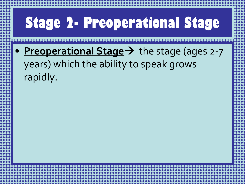# **Stage 2- Preoperational Stage** • **Preoperational Stage** > the stage (ages 2-7 years) which the ability to speak grows rapidly.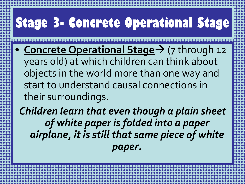# **Stage 3- Concrete Operational Stage**

• **Concrete Operational Stage**  $\rightarrow$  (7 through 12 years old) at which children can think about objects in the world more than one way and start to understand causal connections in their surroundings.

*Children learn that even though a plain sheet of white paper is folded into a paper airplane, it is still that same piece of white paper.*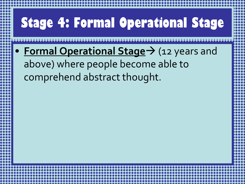# **Stage 4: Formal Operational Stage** • **Formal Operational Stage** > (12 years and above) where people become able to comprehend abstract thought.